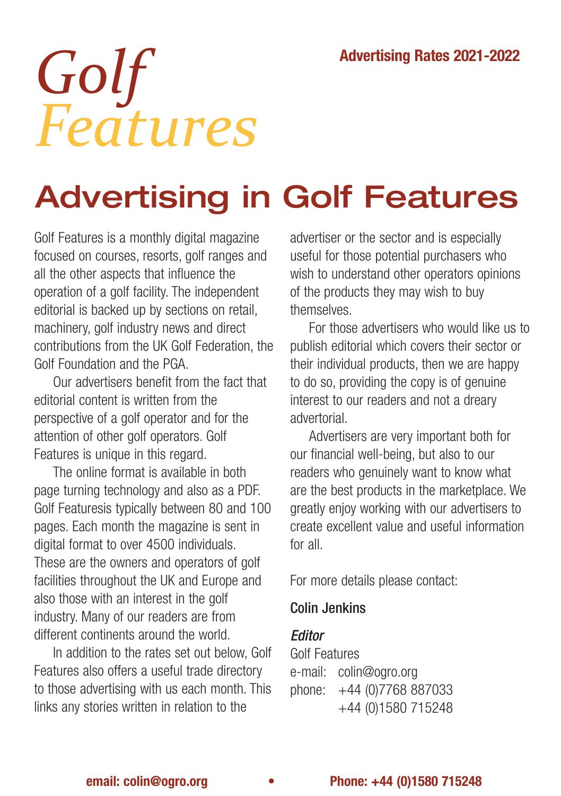# *Golf Features*

## Advertising in Golf Features

Golf Features is a monthly digital magazine focused on courses, resorts, golf ranges and all the other aspects that influence the operation of a golf facility. The independent editorial is backed up by sections on retail, machinery, golf industry news and direct contributions from the UK Golf Federation, the Golf Foundation and the PGA.

Our advertisers benefit from the fact that editorial content is written from the perspective of a golf operator and for the attention of other golf operators. Golf Features is unique in this regard.

The online format is available in both page turning technology and also as a PDF. Golf Featuresis typically between 80 and 100 pages. Each month the magazine is sent in digital format to over 4500 individuals. These are the owners and operators of golf facilities throughout the UK and Europe and also those with an interest in the golf industry. Many of our readers are from different continents around the world.

In addition to the rates set out below, Golf Features also offers a useful trade directory to those advertising with us each month. This links any stories written in relation to the

advertiser or the sector and is especially useful for those potential purchasers who wish to understand other operators opinions of the products they may wish to buy themselves.

For those advertisers who would like us to publish editorial which covers their sector or their individual products, then we are happy to do so, providing the copy is of genuine interest to our readers and not a dreary advertorial.

Advertisers are very important both for our financial well-being, but also to our readers who genuinely want to know what are the best products in the marketplace. We greatly enjoy working with our advertisers to create excellent value and useful information for all.

For more details please contact:

#### Colin Jenkins

#### *<u>Editor</u>*

Golf Features e-mail: [colin@ogro.org](mailto:colin@ogro.org) phone: +44 (0)7768 887033 +44 (0)1580 715248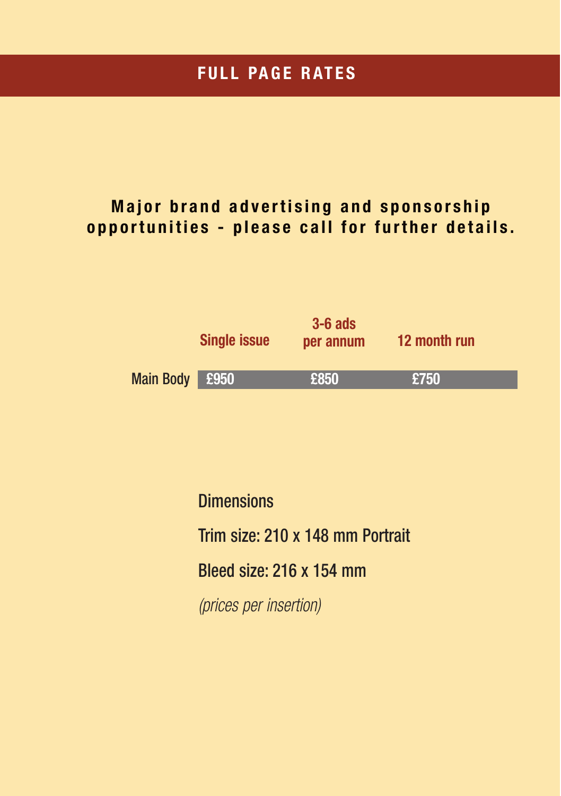#### **FULL PAGE RATES**

#### **Major brand advertising and sponsorship opportunities - please call for further details.**



**Dimensions** Trim size: 210 x 148 mm Portrait Bleed size: 216 x 154 mm (prices per insertion)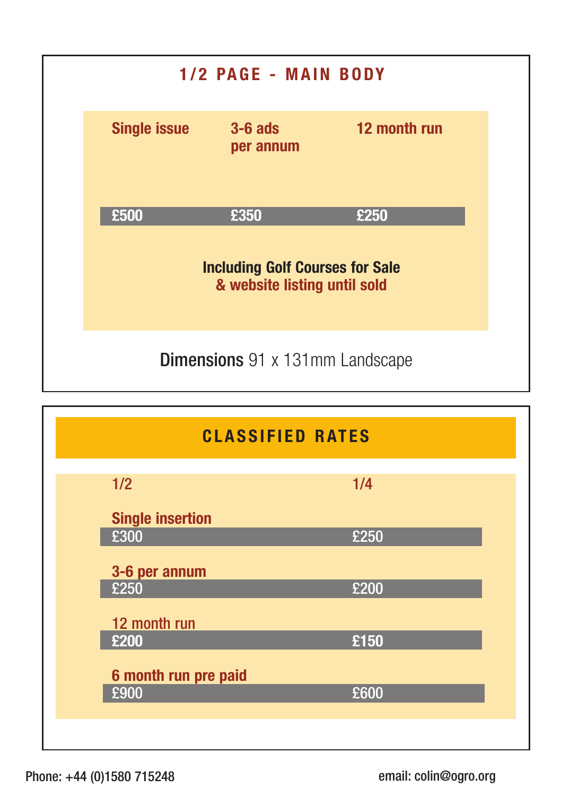



Phone: +44 (0)1580 715248

email: [colin@ogro.org](mailto:colin@ogro.org)